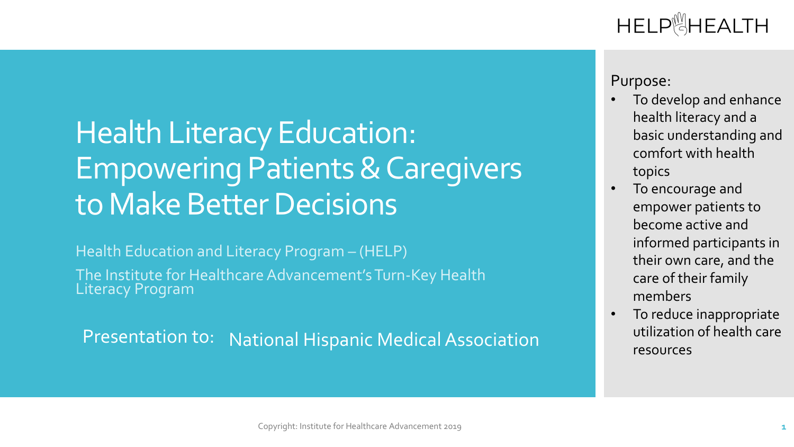## HELP<sup>M</sup>HEALTH

# Health Literacy Education: Empowering Patients & Caregivers to Make Better Decisions

Health Education and Literacy Program – (HELP)

The Institute for Healthcare Advancement's Turn-Key Health Literacy Program

Presentation to: National Hispanic Medical Association

#### Purpose:

- To develop and enhance health literacy and a basic understanding and comfort with health topics
- To encourage and empower patients to become active and informed participants in their own care, and the care of their family members
- To reduce inappropriate utilization of health care resources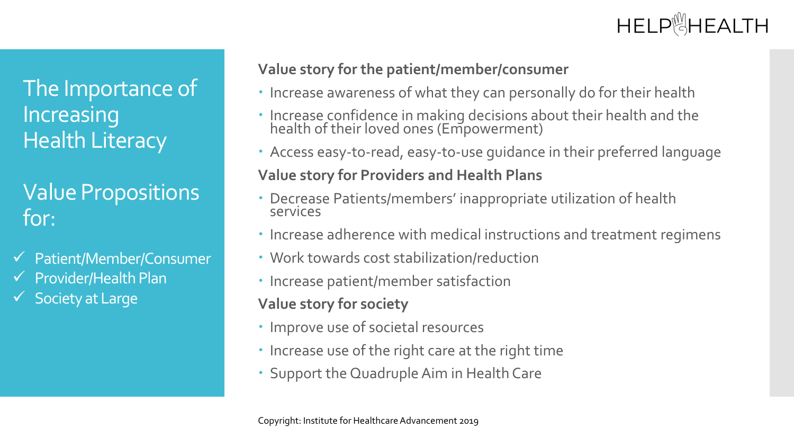## The Importance of Increasing Health Literacy

## Value Propositions for:

- $\checkmark$  Patient/Member/Consumer
- $\checkmark$  Provider/Health Plan
- $\checkmark$  Society at Large

### **Value story for the patient/member/consumer**

- Increase awareness of what they can personally do for their health
- Increase confidence in making decisions about their health and the health of their loved ones (Empowerment)
- Access easy-to-read, easy-to-use guidance in their preferred language

### **Value story for Providers and Health Plans**

- Decrease Patients/members' inappropriate utilization of health services
- Increase adherence with medical instructions and treatment regimens
- Work towards cost stabilization/reduction
- Increase patient/member satisfaction

### **Value story for society**

- Improve use of societal resources
- Increase use of the right care at the right time
- Support the Quadruple Aim in Health Care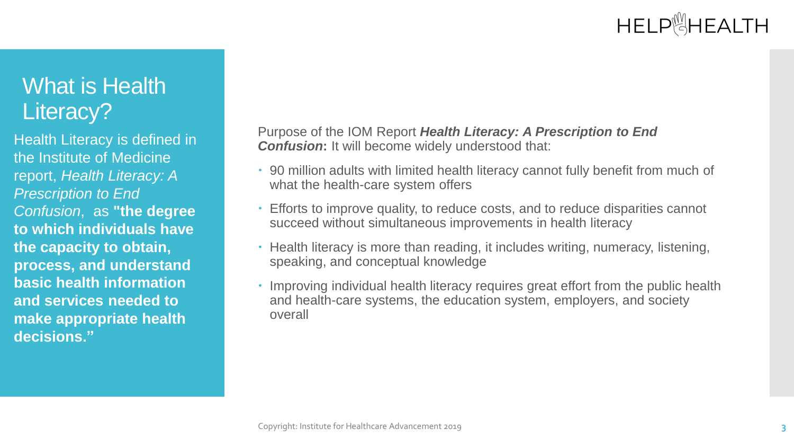## What is Health Literacy?

Health Literacy is defined in the Institute of Medicine report, *Health Literacy: A Prescription to End Confusion*, as **"the degree to which individuals have the capacity to obtain, process, and understand basic health information and services needed to make appropriate health decisions."**

Purpose of the IOM Report *Health Literacy: A Prescription to End Confusion:* It will become widely understood that:

- 90 million adults with limited health literacy cannot fully benefit from much of what the health-care system offers
- Efforts to improve quality, to reduce costs, and to reduce disparities cannot succeed without simultaneous improvements in health literacy
- Health literacy is more than reading, it includes writing, numeracy, listening, speaking, and conceptual knowledge
- Improving individual health literacy requires great effort from the public health and health-care systems, the education system, employers, and society overall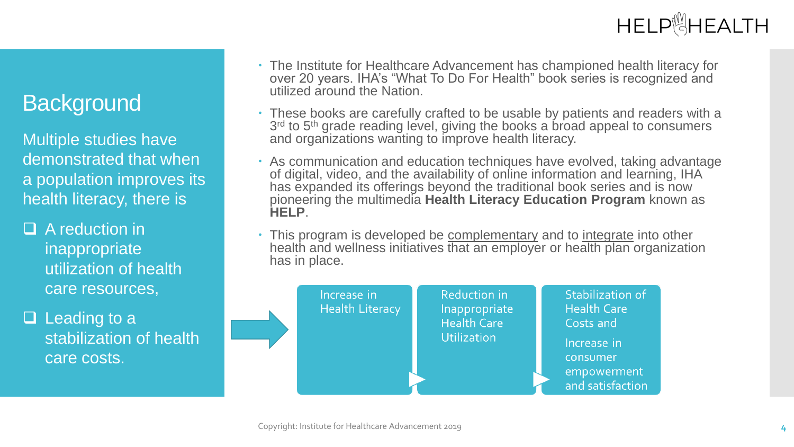## **Background**

Multiple studies have demonstrated that when a population improves its health literacy, there is

 $\Box$  A reduction in inappropriate utilization of health care resources,

 $\Box$  Leading to a stabilization of health care costs.

- The Institute for Healthcare Advancement has championed health literacy for over 20 years. IHA's "What To Do For Health" book series is recognized and utilized around the Nation.
- These books are carefully crafted to be usable by patients and readers with a 3<sup>rd</sup> to 5<sup>th</sup> grade reading level, giving the books a broad appeal to consumers and organizations wanting to improve health literacy.
- As communication and education techniques have evolved, taking advantage of digital, video, and the availability of online information and learning, IHA has expanded its offerings beyond the traditional book series and is now pioneering the multimedia **Health Literacy Education Program** known as **HELP**.
- This program is developed be complementary and to integrate into other health and wellness initiatives that an employer or health plan organization has in place.

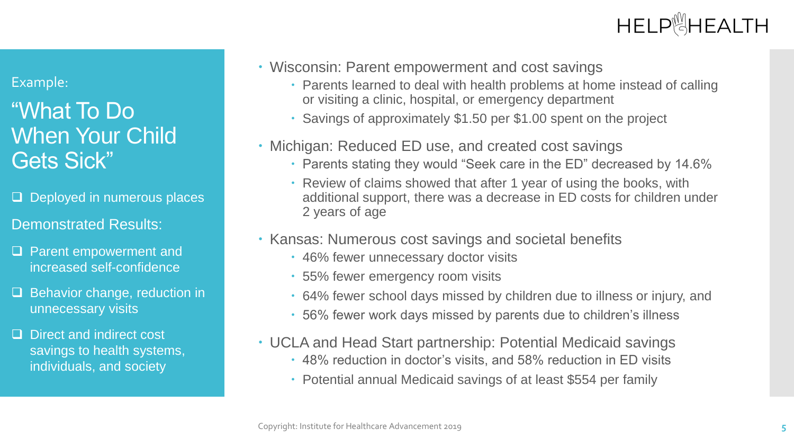#### Example:

## "What To Do When Your Child Gets Sick"

- $\Box$  Deployed in numerous places
- Demonstrated Results:
- □ Parent empowerment and increased self-confidence
- $\Box$  Behavior change, reduction in unnecessary visits
- D Direct and indirect cost savings to health systems, individuals, and society
- Wisconsin: Parent empowerment and cost savings
	- Parents learned to deal with health problems at home instead of calling or visiting a clinic, hospital, or emergency department
	- Savings of approximately \$1.50 per \$1.00 spent on the project
- Michigan: Reduced ED use, and created cost savings
	- Parents stating they would "Seek care in the ED" decreased by 14.6%
	- Review of claims showed that after 1 year of using the books, with additional support, there was a decrease in ED costs for children under 2 years of age
- Kansas: Numerous cost savings and societal benefits
	- 46% fewer unnecessary doctor visits
	- 55% fewer emergency room visits
	- 64% fewer school days missed by children due to illness or injury, and
	- 56% fewer work days missed by parents due to children's illness
- UCLA and Head Start partnership: Potential Medicaid savings
	- 48% reduction in doctor's visits, and 58% reduction in ED visits
	- Potential annual Medicaid savings of at least \$554 per family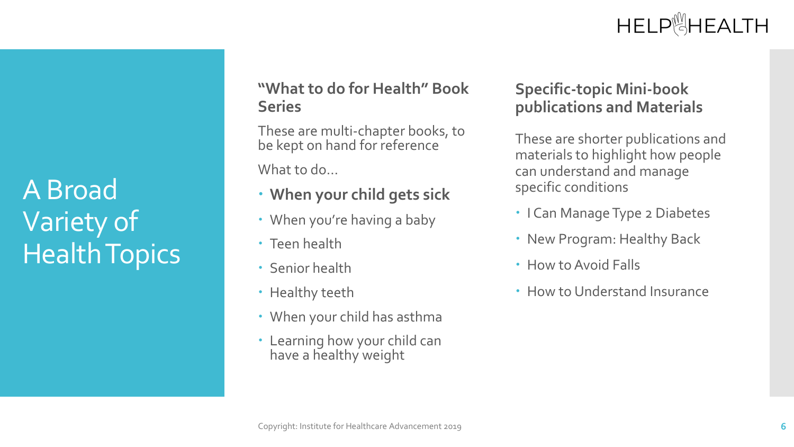# A Broad Variety of Health Topics

### **"What to do for Health" Book Series**

These are multi-chapter books, to be kept on hand for reference

What to do…

- **When your child gets sick**
- When you're having a baby
- Teen health
- Senior health
- Healthy teeth
- When your child has asthma
- Learning how your child can have a healthy weight

#### **Specific-topic Mini-book publications and Materials**

These are shorter publications and materials to highlight how people can understand and manage specific conditions

- I Can Manage Type 2 Diabetes
- New Program: Healthy Back
- How to Avoid Falls
- How to Understand Insurance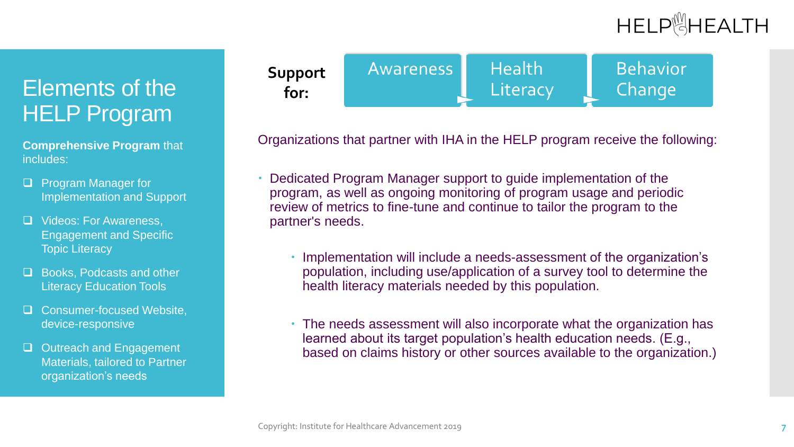## Elements of the HELP Program

**Comprehensive Program** that includes:

- **D** Program Manager for Implementation and Support
- □ Videos: For Awareness, Engagement and Specific Topic Literacy
- **L** Books, Podcasts and other **Literacy Education Tools**
- □ Consumer-focused Website, device-responsive
- □ Outreach and Engagement Materials, tailored to Partner organization's needs



Organizations that partner with IHA in the HELP program receive the following:

- Dedicated Program Manager support to guide implementation of the program, as well as ongoing monitoring of program usage and periodic review of metrics to fine-tune and continue to tailor the program to the partner's needs.
	- Implementation will include a needs-assessment of the organization's population, including use/application of a survey tool to determine the health literacy materials needed by this population.
	- The needs assessment will also incorporate what the organization has learned about its target population's health education needs. (E.g., based on claims history or other sources available to the organization.)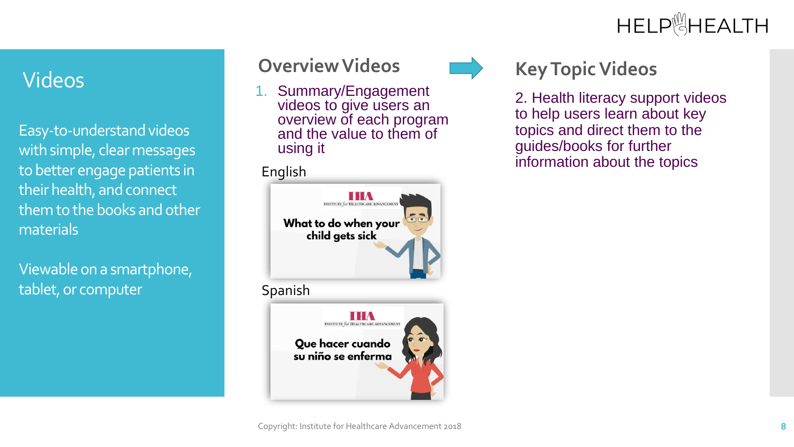Easy-to-understand videos with simple, clear messages to better engage patients in their health, and connect them to the books and other materials

Viewable on a smartphone, tablet, or computer

# Videos **Overview Videos**

1. Summary/Engagement videos to give users an overview of each program and the value to them of using it





## **Key Topic Videos**

2. Health literacy support videos to help users learn about key topics and direct them to the guides/books for further information about the topics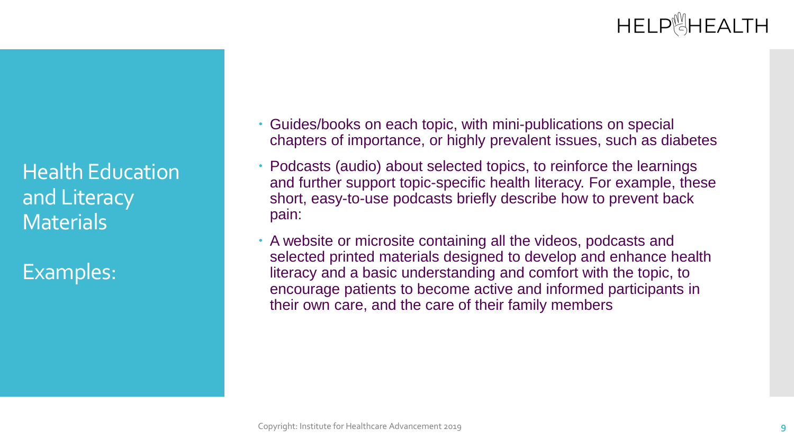Health Education and Literacy **Materials** 

Examples:

- Guides/books on each topic, with mini-publications on special chapters of importance, or highly prevalent issues, such as diabetes
- Podcasts (audio) about selected topics, to reinforce the learnings and further support topic-specific health literacy. For example, these short, easy-to-use podcasts briefly describe how to prevent back pain:
- A website or microsite containing all the videos, podcasts and selected printed materials designed to develop and enhance health literacy and a basic understanding and comfort with the topic, to encourage patients to become active and informed participants in their own care, and the care of their family members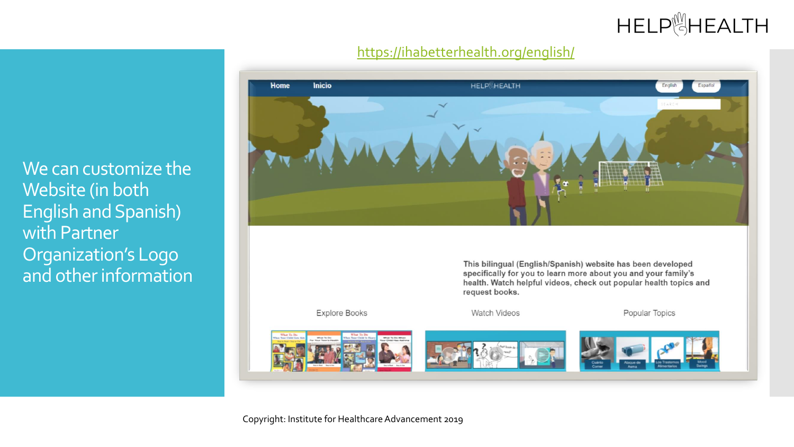#### <https://ihabetterhealth.org/english/>



We can customize the Website (in both English and Spanish) with Partner Organization's Logo and other information

Copyright: Institute for Healthcare Advancement 2019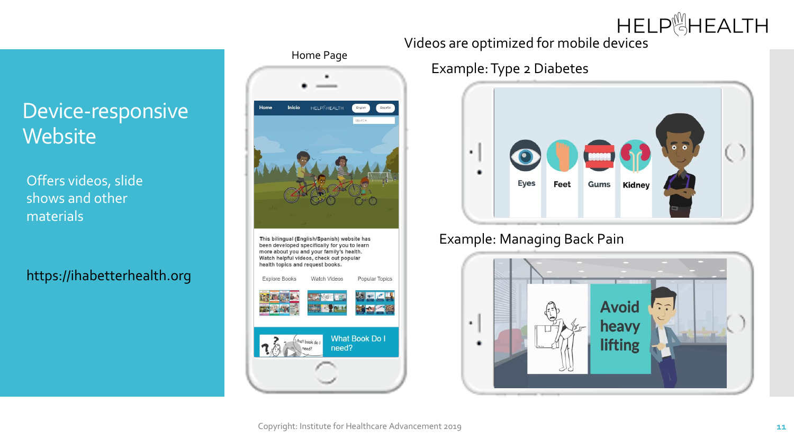### HELP**SHEALTH** Videos are optimized for mobile devices

## Device-responsive **Website**

Offers videos, slide shows and other materials

### https://ihabetterhealth.org

### Home Page



This bilingual (English/Spanish) website has been developed specifically for you to learn more about you and your family's health. Watch helpful videos, check out popular health topics and request books.

**Explore Books Watch Videos** Popular Topics **What Book Do I** hat book do I need?

## Example: Type 2 Diabetes



#### Example: Managing Back Pain

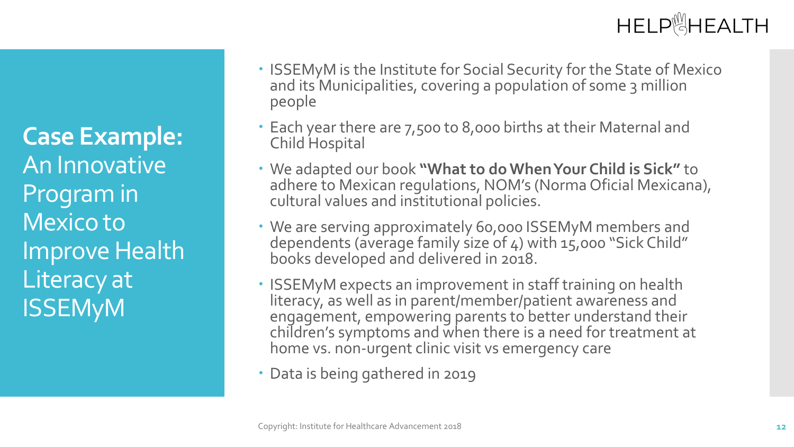**Case Example:** An Innovative Program in Mexico to Improve Health Literacy at ISSEMyM

- ISSEMyM is the Institute for Social Security for the State of Mexico and its Municipalities, covering a population of some 3 million people
- Each year there are 7,500 to 8,000 births at their Maternal and Child Hospital
- We adapted our book **"What to do When Your Child is Sick"** to adhere to Mexican regulations, NOM's (Norma Oficial Mexicana), cultural values and institutional policies.
- We are serving approximately 60,000 ISSEMyM members and dependents (average family size of 4) with 15,000 "Sick Child" books developed and delivered in 2018.
- ISSEMyM expects an improvement in staff training on health literacy, as well as in parent/member/patient awareness and engagement, empowering parents to better understand their children's symptoms and when there is a need for treatment at home vs. non-urgent clinic visit vs emergency care
- Data is being gathered in 2019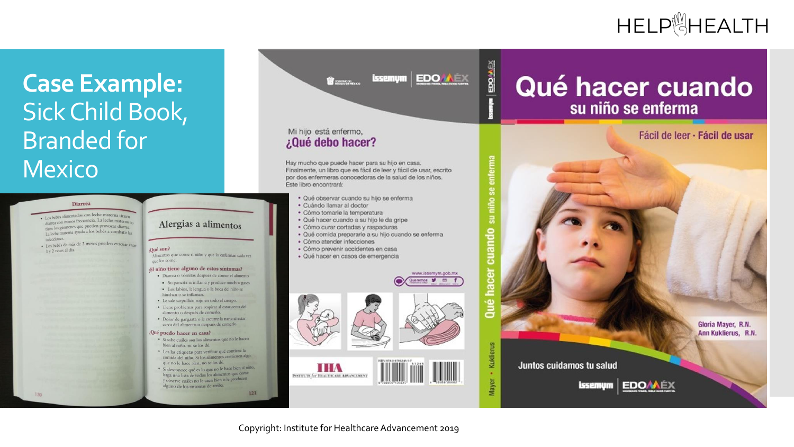## HELP<sup><sup>19</sup>HEALTH</sup>

## **Case Example:**  Sick Child Book, Branded for Mexico

#### **Diarrea**

· Los bebés alimentados con leche materna tienen diarrea con menos frecuencia. La leche materna no tiene los gérmenes que pueden provocar diarrea. tiene los germenes que para los bebés a combatir las infecciones.

· Los bebés de más de 2 meses pueden evacuar entre 1 v 2 veces al día.

 $120$ 

#### Alergias a alimentos

#### ¿Qué son?

Alimentos que come el niño y que lo enferman cada vez que los come.

#### ¡El niño tiene alguno de estos síntomas?

- · Diarrea o vómitos después de comer el alimento · Su pancita se inflama y produce muchos gases · Los labios, la lengua o la boca del niño se
- hinchan o se inflaman. · Le sale sarpullido rojo en todo el cuerpo.
- · Tiene problemas para respirar al estar cerca del alimento o después de comerlo.
- · Dolor de garganta o le escurre la nariz al estar cerca del alimento o después de comerlo.

#### ¿Qué puedo hacer en casa?

- · Si sabe cuáles son los alimentos que no le hacen bien al niño, no se los dé.
- · Lea las etiquetas para verificar qué contiene la comida del niño. Si los alimentos contienen algo que no le hace bien, no se los dé. · Si desconoce qué es lo que no le hace bien al niño,
- haga una lista de todos los alimentos que come y observe cuáles no le caen bien o le producen alguno de los síntomas de arriba.

 $121$ 

**issemym EDO ALEX Bernard** 

EDOMEX

Qué hacer

#### Mi hijo está enfermo, ¿Qué debo hacer?

Hay mucho que puede hacer para su hijo en casa. Finalmente, un libro que es fácil de leer y fácil de usar, escrito por dos enfermeras conocedoras de la salud de los niños. Este libro encontrará:

- · Qué observar cuando su hijo se enferma
- · Cuándo llamar al doctor
- · Cómo tomarle la temperatura
- · Qué hacer cuando a su hijo le da gripe
- · Cómo curar cortadas y raspaduras
- · Qué comida prepararle a su hijo cuando se enferma
- · Cómo atender infecciones
- · Cómo prevenir accidentes en casa
- · Qué hacer en casos de emergencia





## Qué hacer cuando su niño se enferma

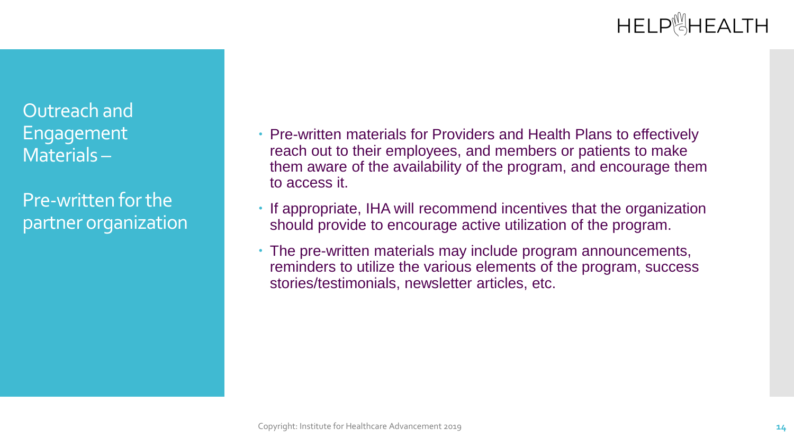Outreach and Engagement Materials –

Pre-written for the partner organization  Pre-written materials for Providers and Health Plans to effectively reach out to their employees, and members or patients to make them aware of the availability of the program, and encourage them to access it.

• If appropriate, IHA will recommend incentives that the organization should provide to encourage active utilization of the program.

 The pre-written materials may include program announcements, reminders to utilize the various elements of the program, success stories/testimonials, newsletter articles, etc.